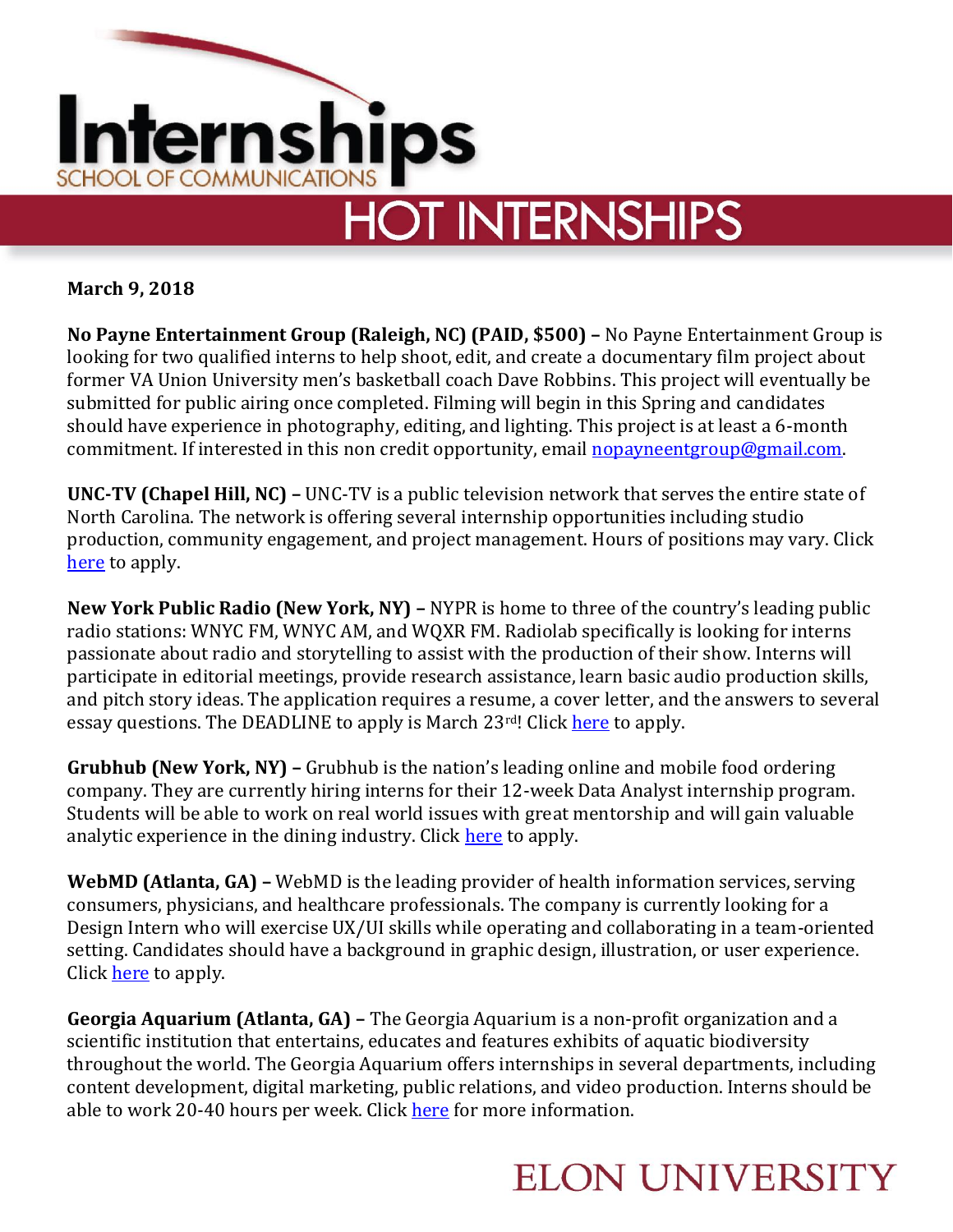

**March 9, 2018**

**No Payne Entertainment Group (Raleigh, NC) (PAID, \$500) –** No Payne Entertainment Group is looking for two qualified interns to help shoot, edit, and create a documentary film project about former VA Union University men's basketball coach Dave Robbins. This project will eventually be submitted for public airing once completed. Filming will begin in this Spring and candidates should have experience in photography, editing, and lighting. This project is at least a 6-month commitment. If interested in this non credit opportunity, email [nopayneentgroup@gmail.com.](mailto:nopayneentgroup@gmail.com)

**UNC-TV (Chapel Hill, NC) –** UNC-TV is a public television network that serves the entire state of North Carolina. The network is offering several internship opportunities including studio production, community engagement, and project management. Hours of positions may vary. Click [here](http://www.unctv.org/about/employment/) to apply.

**New York Public Radio (New York, NY) –** NYPR is home to three of the country's leading public radio stations: WNYC FM, WNYC AM, and WQXR FM. Radiolab specifically is looking for interns passionate about radio and storytelling to assist with the production of their show. Interns will participate in editorial meetings, provide research assistance, learn basic audio production skills, and pitch story ideas. The application requires a resume, a cover letter, and the answers to several essay questions. The DEADLINE to apply is March 23<sup>rd</sup>! Click [here](http://jobs.jobvite.com/newyork-public-radio/job/okgZ6fwp?utm_campaign=google_jobs_apply&utm_source=google_jobs_apply&utm_medium=organic) to apply.

**Grubhub (New York, NY) –** Grubhub is the nation's leading online and mobile food ordering company. They are currently hiring interns for their 12-week Data Analyst internship program. Students will be able to work on real world issues with great mentorship and will gain valuable analytic experience in the dining industry. Click [here](https://careers-grubhub.icims.com/jobs/5011/data-analyst-intern-%28summer-2018%29/job?utm_campaign=google_jobs_apply&utm_source=google_jobs_apply&utm_medium=organic&mobile=false&width=990&height=500&bga=true&needsRedirect=false&jan1offset=-300&jun) to apply.

**WebMD (Atlanta, GA) –** WebMD is the leading provider of health information services, serving consumers, physicians, and healthcare professionals. The company is currently looking for a Design Intern who will exercise UX/UI skills while operating and collaborating in a team-oriented setting. Candidates should have a background in graphic design, illustration, or user experience. Click [here](https://careers.webmd.com/job-details/intern-design/13505/1/?utm_campaign=google_jobs_apply&utm_source=google_jobs_apply&utm_medium=organic) to apply.

**Georgia Aquarium (Atlanta, GA) –** The Georgia Aquarium is a non-profit organization and a scientific institution that entertains, educates and features exhibits of aquatic biodiversity throughout the world. The Georgia Aquarium offers internships in several departments, including content development, digital marketing, public relations, and video production. Interns should be able to work 20-40 hours per week. Click [here](https://www.georgiaaquarium.org/experience/support/get-involved/internships) for more information.

## **ELON UNIVERSITY**